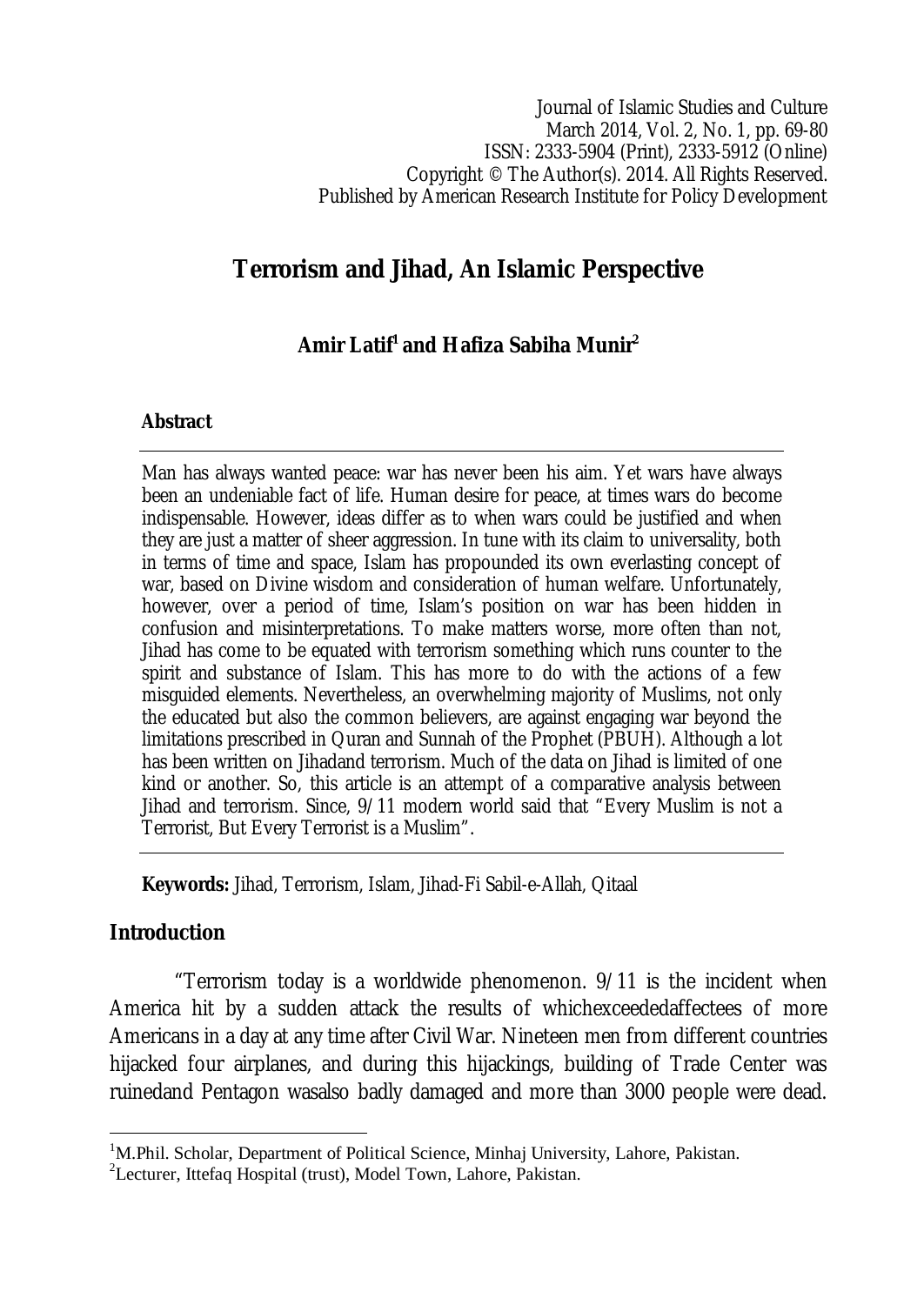Journal of Islamic Studies and Culture March 2014, Vol. 2, No. 1, pp. 69-80 ISSN: 2333-5904 (Print), 2333-5912 (Online) Copyright © The Author(s). 2014. All Rights Reserved. Published by American Research Institute for Policy Development

# **Terrorism and Jihad, An Islamic Perspective**

# **Amir Latif<sup>1</sup> and Hafiza Sabiha Munir<sup>2</sup>**

#### **Abstract**

Man has always wanted peace: war has never been his aim. Yet wars have always been an undeniable fact of life. Human desire for peace, at times wars do become indispensable. However, ideas differ as to when wars could be justified and when they are just a matter of sheer aggression. In tune with its claim to universality, both in terms of time and space, Islam has propounded its own everlasting concept of war, based on Divine wisdom and consideration of human welfare. Unfortunately, however, over a period of time, Islam's position on war has been hidden in confusion and misinterpretations. To make matters worse, more often than not, Jihad has come to be equated with terrorism something which runs counter to the spirit and substance of Islam. This has more to do with the actions of a few misguided elements. Nevertheless, an overwhelming majority of Muslims, not only the educated but also the common believers, are against engaging war beyond the limitations prescribed in Quran and Sunnah of the Prophet (PBUH). Although a lot has been written on Jihadand terrorism. Much of the data on Jihad is limited of one kind or another. So, this article is an attempt of a comparative analysis between Jihad and terrorism. Since, 9/11 modern world said that "Every Muslim is not a Terrorist, But Every Terrorist is a Muslim".

**Keywords:** Jihad, Terrorism, Islam, Jihad-Fi Sabil-e-Allah, Qitaal

## **Introduction**

 $\overline{a}$ 

"Terrorism today is a worldwide phenomenon. 9/11 is the incident when America hit by a sudden attack the results of whichexceededaffectees of more Americans in a day at any time after Civil War. Nineteen men from different countries hijacked four airplanes, and during this hijackings, building of Trade Center was ruinedand Pentagon wasalso badly damaged and more than 3000 people were dead.

<sup>&</sup>lt;sup>1</sup>M.Phil. Scholar, Department of Political Science, Minhaj University, Lahore, Pakistan.

<sup>2</sup>Lecturer, Ittefaq Hospital (trust), Model Town, Lahore, Pakistan.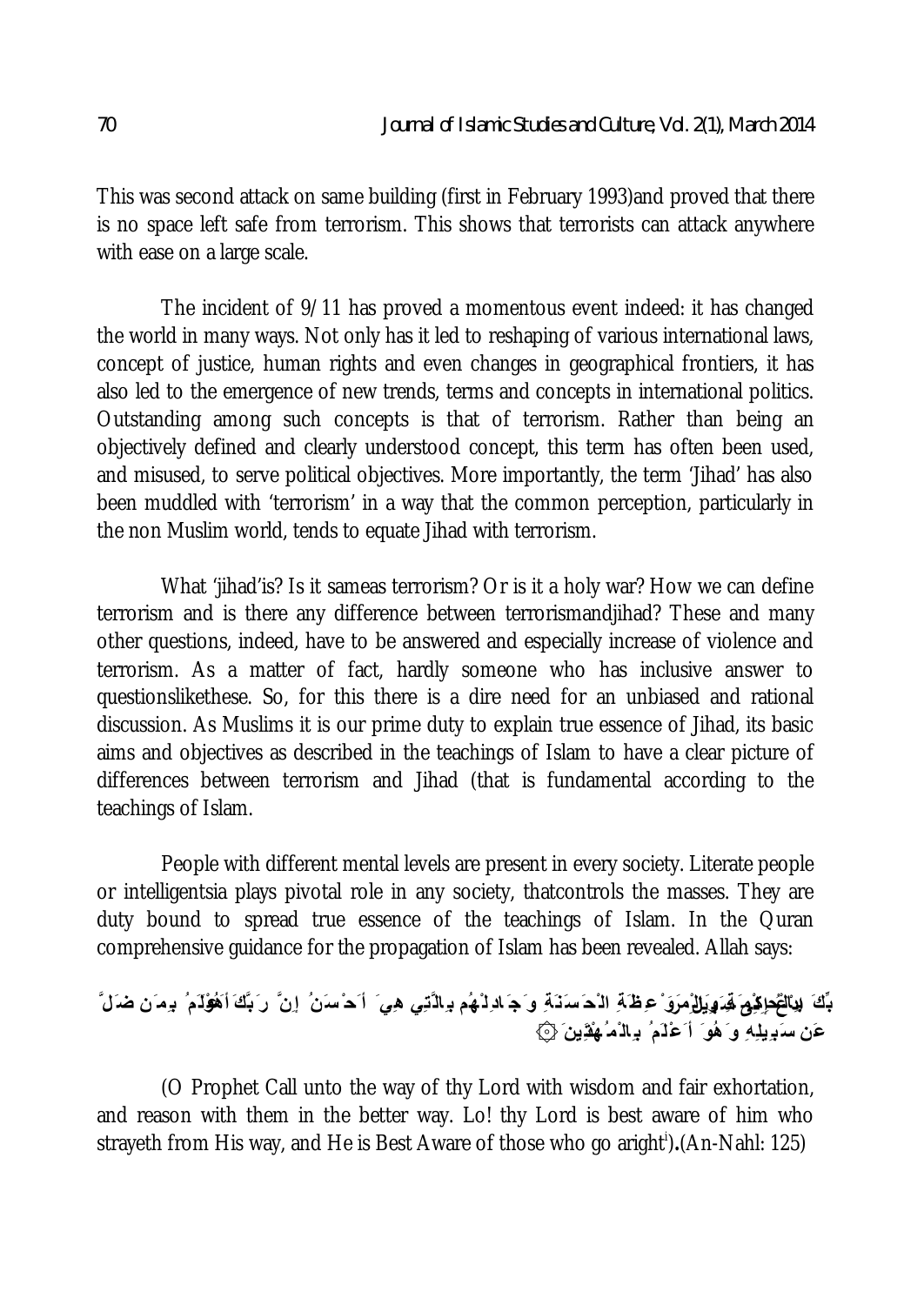This was second attack on same building (first in February 1993)and proved that there is no space left safe from terrorism. This shows that terrorists can attack anywhere with ease on a large scale.

The incident of 9/11 has proved a momentous event indeed: it has changed the world in many ways. Not only has it led to reshaping of various international laws, concept of justice, human rights and even changes in geographical frontiers, it has also led to the emergence of new trends, terms and concepts in international politics. Outstanding among such concepts is that of terrorism. Rather than being an objectively defined and clearly understood concept, this term has often been used, and misused, to serve political objectives. More importantly, the term 'Jihad' has also been muddled with 'terrorism' in a way that the common perception, particularly in the non Muslim world, tends to equate Jihad with terrorism.

What 'jihad'is? Is it sameas terrorism? Or is it a holy war? How we can define terrorism and is there any difference between terrorismandjihad? These and many other questions, indeed, have to be answered and especially increase of violence and terrorism. As a matter of fact, hardly someone who has inclusive answer to questionslikethese. So, for this there is a dire need for an unbiased and rational discussion. As Muslims it is our prime duty to explain true essence of Jihad, its basic aims and objectives as described in the teachings of Islam to have a clear picture of differences between terrorism and Jihad (that is fundamental according to the teachings of Islam.

People with different mental levels are present in every society. Literate people or intelligentsia plays pivotal role in any society, thatcontrols the masses. They are duty bound to spread true essence of the teachings of Islam. In the Quran comprehensive guidance for the propagation of Islam has been revealed. Allah says:

# بِّكَ لِ**يَالْتُحِائِيُمَ لَهِ وَيَلِلْمِوَنْ عِظَ**ّةِ الْحَسَنَةَ وَجَادِلْهُم بِالّْتِي هِيَ أَحْسَنُ إِنَّ رَبَّكَ أَهُ**وُ**لَمُ بِيمَن ضَلَّ **عَن سَب ِیلِھِ و َھُو َ أ َعْلَم ُ ب ِال ْم ُھْتَ دِین َ ۞**

(O Prophet Call unto the way of thy Lord with wisdom and fair exhortation, and reason with them in the better way. Lo! thy Lord is best aware of him who strayeth from His way, and He is Best Aware of those who go aright<sup>i</sup>).(An-Nahl: 125)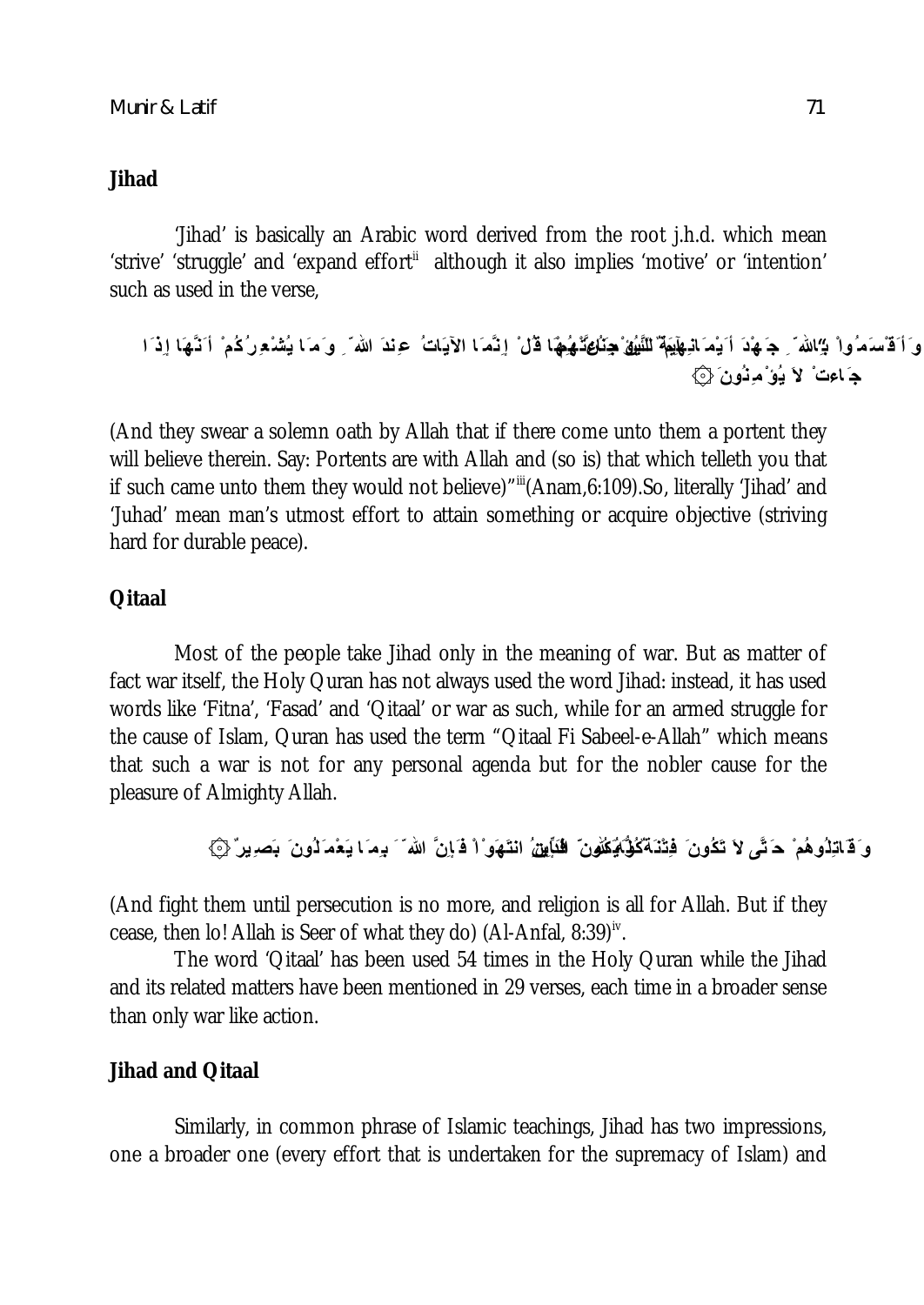### **Jihad**

'Jihad' is basically an Arabic word derived from the root j.h.d. which mean 'strive' 'struggle' and 'expand effort<sup>"</sup> although it also implies 'motive' or 'intention' such as used in the verse,

```
وَ أَقْسَمُواْ بِ الله ۖ حَ هُدَ أَيْمَ انِهِهِٓمَةٌ للنَّبِيْقُ جِنَاعِثَمْهُمْا قُلْ ۚ إِنَّمَا الْآیَاتُ عِندَ الله ۖ وَمَا يُشْعورُكُمْ أَنَّهَا إِذَا
                                                                                              ج َ اءت ْ لاَ یُؤ ْ مِنُون َ ۞
```
(And they swear a solemn oath by Allah that if there come unto them a portent they will believe therein. Say: Portents are with Allah and (so is) that which telleth you that if such came unto them they would not believe)""(Anam,6:109).So, literally 'Jihad' and 'Juhad' mean man's utmost effort to attain something or acquire objective (striving hard for durable peace).

## **Qitaal**

Most of the people take Jihad only in the meaning of war. But as matter of fact war itself, the Holy Quran has not always used the word Jihad: instead, it has used words like 'Fitna', 'Fasad' and 'Qitaal' or war as such, while for an armed struggle for the cause of Islam, Quran has used the term "Qitaal Fi Sabeel-e-Allah" which means that such a war is not for any personal agenda but for the nobler cause for the pleasure of Almighty Allah.

```
وَ قَاتِلُوهُمْ ۚ حَ<sub>َلَّ</sub>ى لاَ تَكُونَ ۚ فِتْنَةٌ كُلُّهُ كُلُّونَ ۖ لِلنَّابِينُ انتَهَوَاْ فَإِنَّ الله َ َ بِمَا يَعْمَ َلُونَ ۚ بَصِیرٌ ۞
```
(And fight them until persecution is no more, and religion is all for Allah. But if they cease, then Io! Allah is Seer of what they do) (Al-Anfal, 8:39) $^{\sf iv}$ .

The word 'Qitaal' has been used 54 times in the Holy Quran while the Jihad and its related matters have been mentioned in 29 verses, each time in a broader sense than only war like action.

## **Jihad and Qitaal**

Similarly, in common phrase of Islamic teachings, Jihad has two impressions, one a broader one (every effort that is undertaken for the supremacy of Islam) and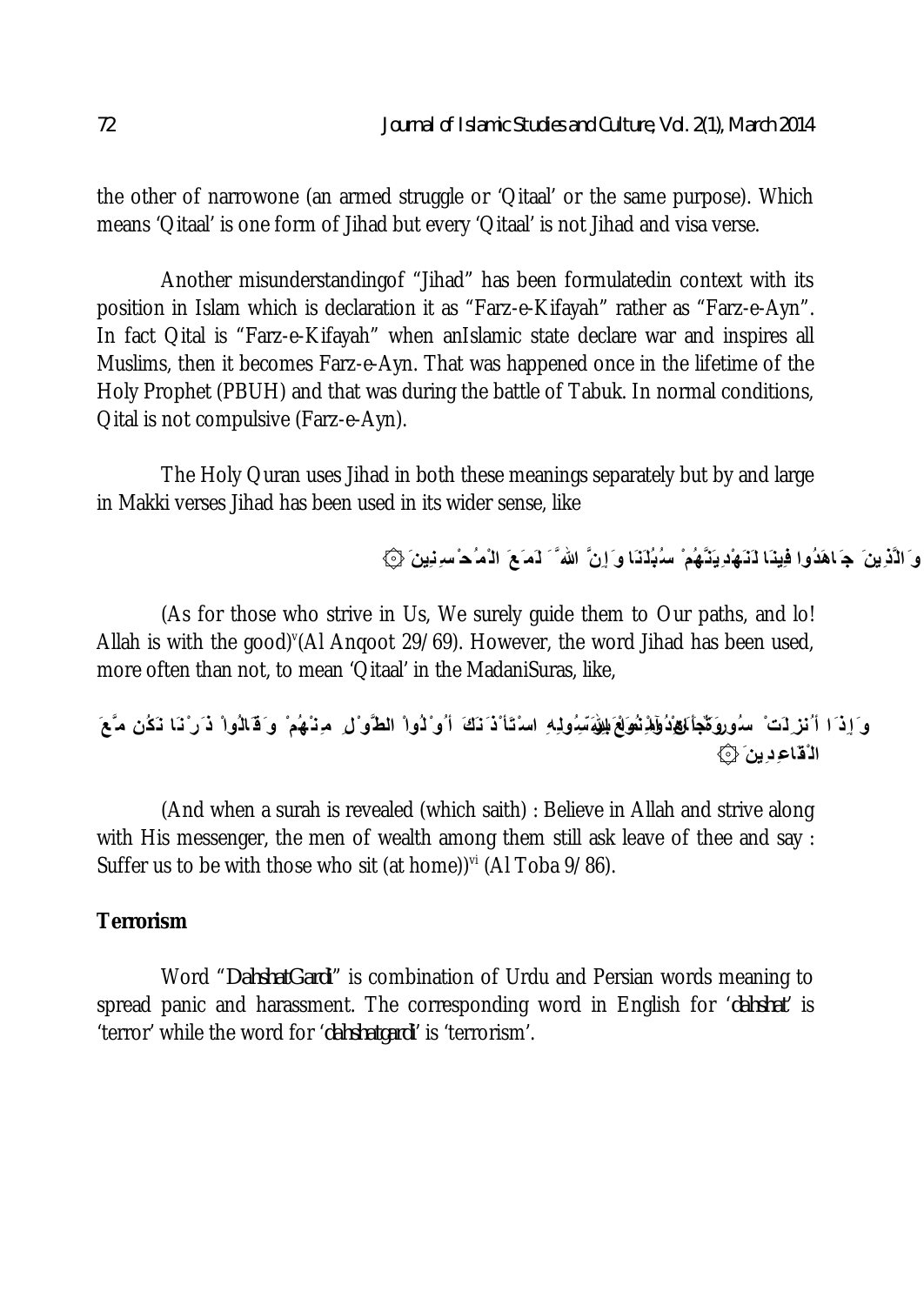the other of narrowone (an armed struggle or 'Qitaal' or the same purpose). Which means 'Qitaal' is one form of Jihad but every 'Qitaal' is not Jihad and visa verse.

Another misunderstandingof "Jihad" has been formulatedin context with its position in Islam which is declaration it as "Farz-e-Kifayah" rather as "Farz-e-Ayn". In fact Qital is "Farz-e-Kifayah" when anIslamic state declare war and inspires all Muslims, then it becomes Farz-e-Ayn. That was happened once in the lifetime of the Holy Prophet (PBUH) and that was during the battle of Tabuk. In normal conditions, Qital is not compulsive (Farz-e-Ayn).

The Holy Quran uses Jihad in both these meanings separately but by and large in Makki verses Jihad has been used in its wider sense, like

**و َالَّذِینَ ج َ اھَدُوا فِینَا لَنَھْدِیَنَّھُم ْ سُبُلَنَا و َإ ِنَّ الله َّ َ لَم َعَ ال ْم ُح ْ س ِنِین َ ۞**

(As for those who strive in Us, We surely guide them to Our paths, and lo! Allah is with the good) (Al Anqoot 29/69). However, the word Jihad has been used, more often than not, to mean 'Qitaal' in the MadaniSuras, like,

وَ إِذَا أَنْزِلَتْ سُوروَكِّجَأَنَيْهِٰدُوْلِهِ بِفُولَةِ بَسِولِهِ اسْتَأْذَنَكَ أُو ْ لُواْ الطَّوْلِ مِنْهُمْ وَ قَالُواْ ذَر ْنَا نَكُن مَّعَ **ال ْقَاع ِدِین َ ۞**

(And when a surah is revealed (which saith) : Believe in Allah and strive along with His messenger, the men of wealth among them still ask leave of thee and say : Suffer us to be with those who sit (at home)) $\mathrm{v}^{\mathrm{i}}$  (Al Toba 9/86).

# **Terrorism**

Word "*DahshatGardi*" is combination of Urdu and Persian words meaning to spread panic and harassment. The corresponding word in English for '*dahshat*' is 'terror' while the word for '*dahshatgardi*' is 'terrorism'.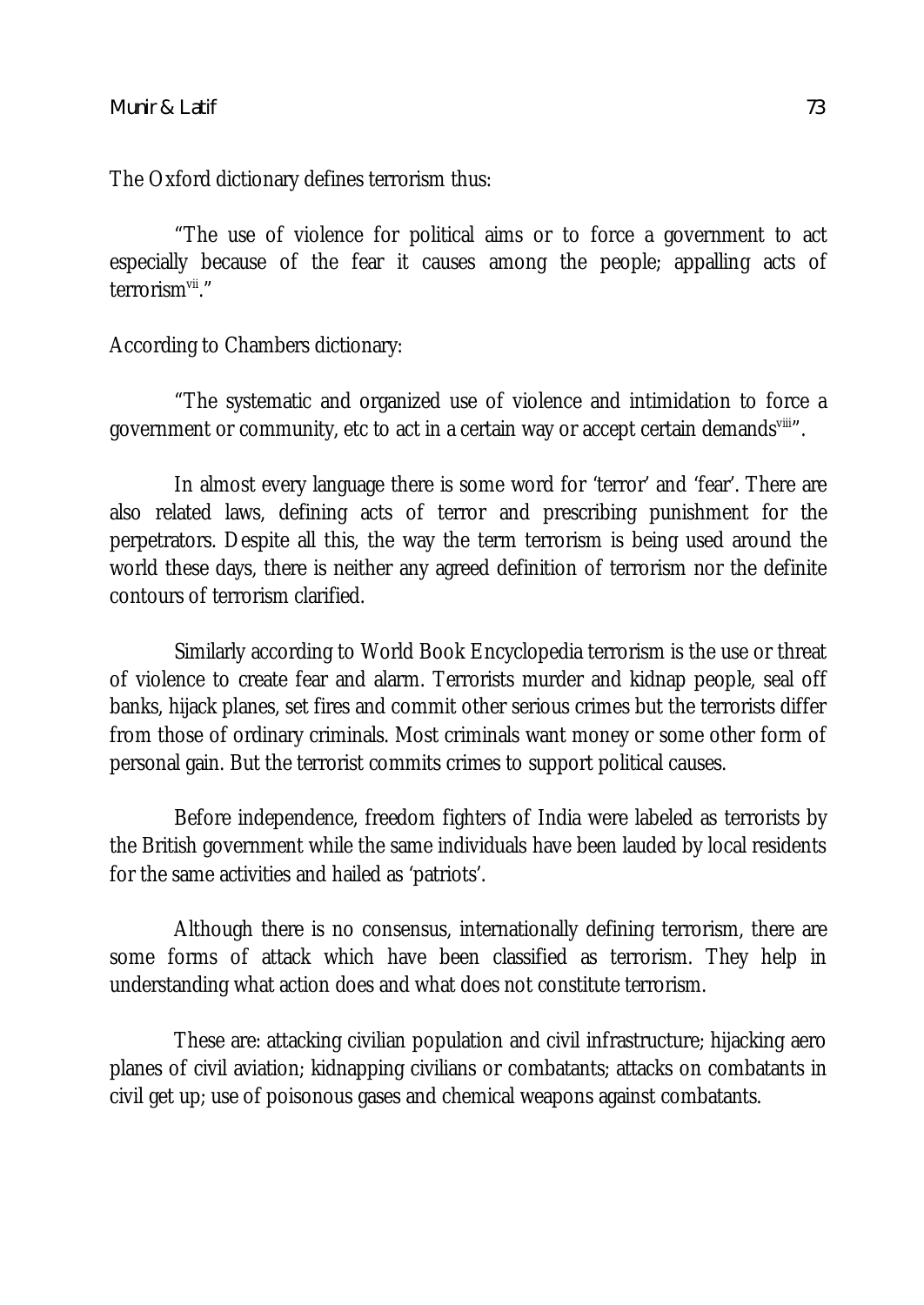The Oxford dictionary defines terrorism thus:

"The use of violence for political aims or to force a government to act especially because of the fear it causes among the people; appalling acts of terrorism<sup>vii</sup>."

According to Chambers dictionary:

"The systematic and organized use of violence and intimidation to force a government or community, etc to act in a certain way or accept certain demands<sup>vili</sup>".

In almost every language there is some word for 'terror' and 'fear'. There are also related laws, defining acts of terror and prescribing punishment for the perpetrators. Despite all this, the way the term terrorism is being used around the world these days, there is neither any agreed definition of terrorism nor the definite contours of terrorism clarified.

Similarly according to World Book Encyclopedia terrorism is the use or threat of violence to create fear and alarm. Terrorists murder and kidnap people, seal off banks, hijack planes, set fires and commit other serious crimes but the terrorists differ from those of ordinary criminals. Most criminals want money or some other form of personal gain. But the terrorist commits crimes to support political causes.

Before independence, freedom fighters of India were labeled as terrorists by the British government while the same individuals have been lauded by local residents for the same activities and hailed as 'patriots'.

Although there is no consensus, internationally defining terrorism, there are some forms of attack which have been classified as terrorism. They help in understanding what action does and what does not constitute terrorism.

These are: attacking civilian population and civil infrastructure; hijacking aero planes of civil aviation; kidnapping civilians or combatants; attacks on combatants in civil get up; use of poisonous gases and chemical weapons against combatants.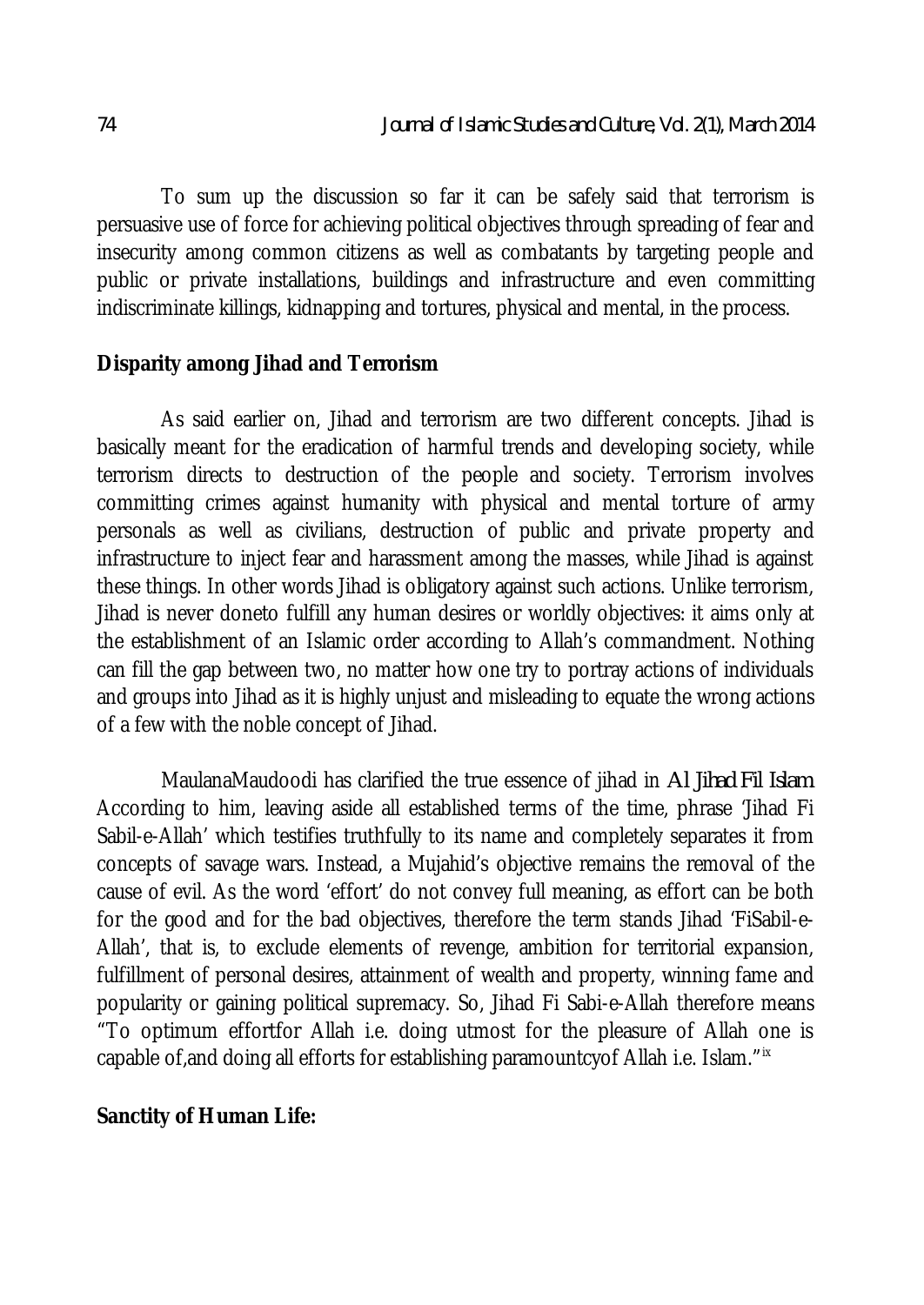To sum up the discussion so far it can be safely said that terrorism is persuasive use of force for achieving political objectives through spreading of fear and insecurity among common citizens as well as combatants by targeting people and public or private installations, buildings and infrastructure and even committing indiscriminate killings, kidnapping and tortures, physical and mental, in the process.

#### **Disparity among Jihad and Terrorism**

As said earlier on, Jihad and terrorism are two different concepts. Jihad is basically meant for the eradication of harmful trends and developing society, while terrorism directs to destruction of the people and society. Terrorism involves committing crimes against humanity with physical and mental torture of army personals as well as civilians, destruction of public and private property and infrastructure to inject fear and harassment among the masses, while Jihad is against these things. In other words Jihad is obligatory against such actions. Unlike terrorism, Jihad is never doneto fulfill any human desires or worldly objectives: it aims only at the establishment of an Islamic order according to Allah's commandment. Nothing can fill the gap between two, no matter how one try to portray actions of individuals and groups into Jihad as it is highly unjust and misleading to equate the wrong actions of a few with the noble concept of Jihad.

MaulanaMaudoodi has clarified the true essence of jihad in *Al Jihad Fil Islam*. According to him, leaving aside all established terms of the time, phrase 'Jihad Fi Sabil-e-Allah' which testifies truthfully to its name and completely separates it from concepts of savage wars. Instead, a Mujahid's objective remains the removal of the cause of evil. As the word 'effort' do not convey full meaning, as effort can be both for the good and for the bad objectives, therefore the term stands Jihad 'FiSabil-e-Allah', that is, to exclude elements of revenge, ambition for territorial expansion, fulfillment of personal desires, attainment of wealth and property, winning fame and popularity or gaining political supremacy. So, Jihad Fi Sabi-e-Allah therefore means "To optimum effortfor Allah i.e. doing utmost for the pleasure of Allah one is capable of, and doing all efforts for establishing paramountcy of Allah i.e. Islam."ix

#### **Sanctity of Human Life:**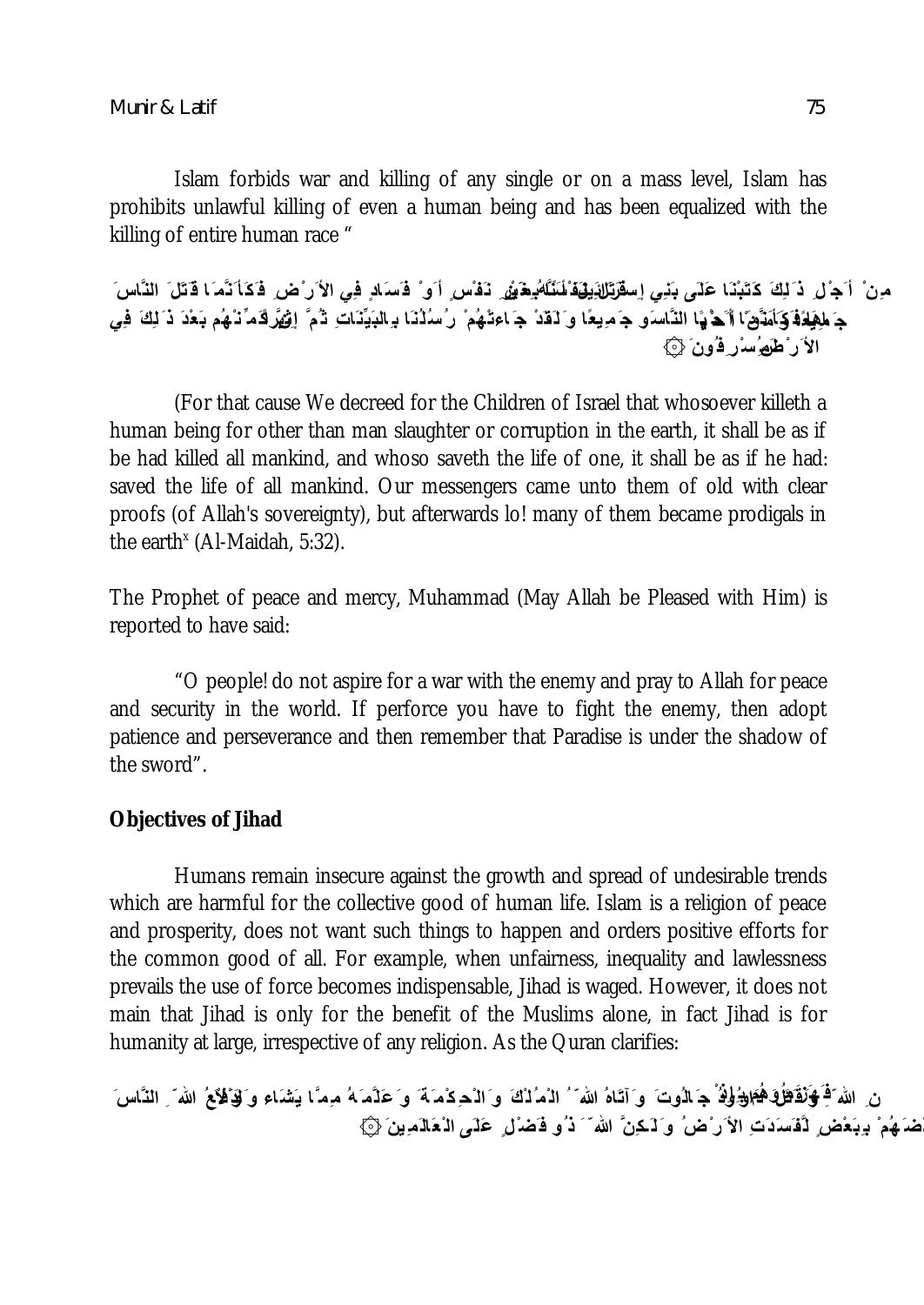*Munir & Latif 75*

Islam forbids war and killing of any single or on a mass level, Islam has prohibits unlawful killing of even a human being and has been equalized with the killing of entire human race "

مِنْ ۚ أَجِزْلِ ذَ لِكَ كَتَبْنَا عَلَ*ى* بَنِي إِس**ْرَتَالِذِيَةَ لَسَّلَّهُ مِقْ**شٍ نَفْسٍ أَو ْ فَسَادٍ فِي الأَر ْضِ فَكَأ َنَّمَ ا قَتَلَ ۚ النَّاسَ جَ مِلِهَذَهُ كَأَمَدَّهِ ّا أَحْفُهَا أَنَّحْهَا النَّاسَو جَمَدِيعًا وَ لَقَدْ جَ<sup>ا</sup>عتْهُمْ رُسُلُنَا بِرالبَيِّنَاتِ ثُمَّ إِنْهُرَ لَهُمَّ نُـهُم بَعْدَ ذَ لِكَ فِي **الأ َر ْض ِ لَم ُسْر ِف ُون َ ۞**

(For that cause We decreed for the Children of Israel that whosoever killeth a human being for other than man slaughter or corruption in the earth, it shall be as if be had killed all mankind, and whoso saveth the life of one, it shall be as if he had: saved the life of all mankind. Our messengers came unto them of old with clear proofs (of Allah's sovereignty), but afterwards lo! many of them became prodigals in the earth $^{\circ}$  (Al-Maidah, 5:32).

The Prophet of peace and mercy, Muhammad (May Allah be Pleased with Him) is reported to have said:

"O people! do not aspire for a war with the enemy and pray to Allah for peace and security in the world. If perforce you have to fight the enemy, then adopt patience and perseverance and then remember that Paradise is under the shadow of the sword".

#### **Objectives of Jihad**

Humans remain insecure against the growth and spread of undesirable trends which are harmful for the collective good of human life. Islam is a religion of peace and prosperity, does not want such things to happen and orders positive efforts for the common good of all. For example, when unfairness, inequality and lawlessness prevails the use of force becomes indispensable, Jihad is waged. However, it does not main that Jihad is only for the benefit of the Muslims alone, in fact Jihad is for humanity at large, irrespective of any religion. As the Quran clarifies:

نِ الله ۖ **فَنَ اللّهُ مَنْ اللهُ وَلَٰٓ اللهُ مَن الله**ٰ عَبْرَ وَٱللّٰهُ وَٱللّٰہِ وَٱللّٰہِ وَٱللّٰہُ ۚ وَٱللّٰہُ ۚ اللّٰہُ ۚ النَّاسَ ٱلنَّاسَ **بَعْض َھُم ْ ب ِبَعْض ٍ لَّف َسَدَتِ الأ َر ْض ُ و َ لَـكِنَّ الله ّ َ ذ ُو ف َضْل ٍ عَلَى ال ْعَالَمِینَ ۞**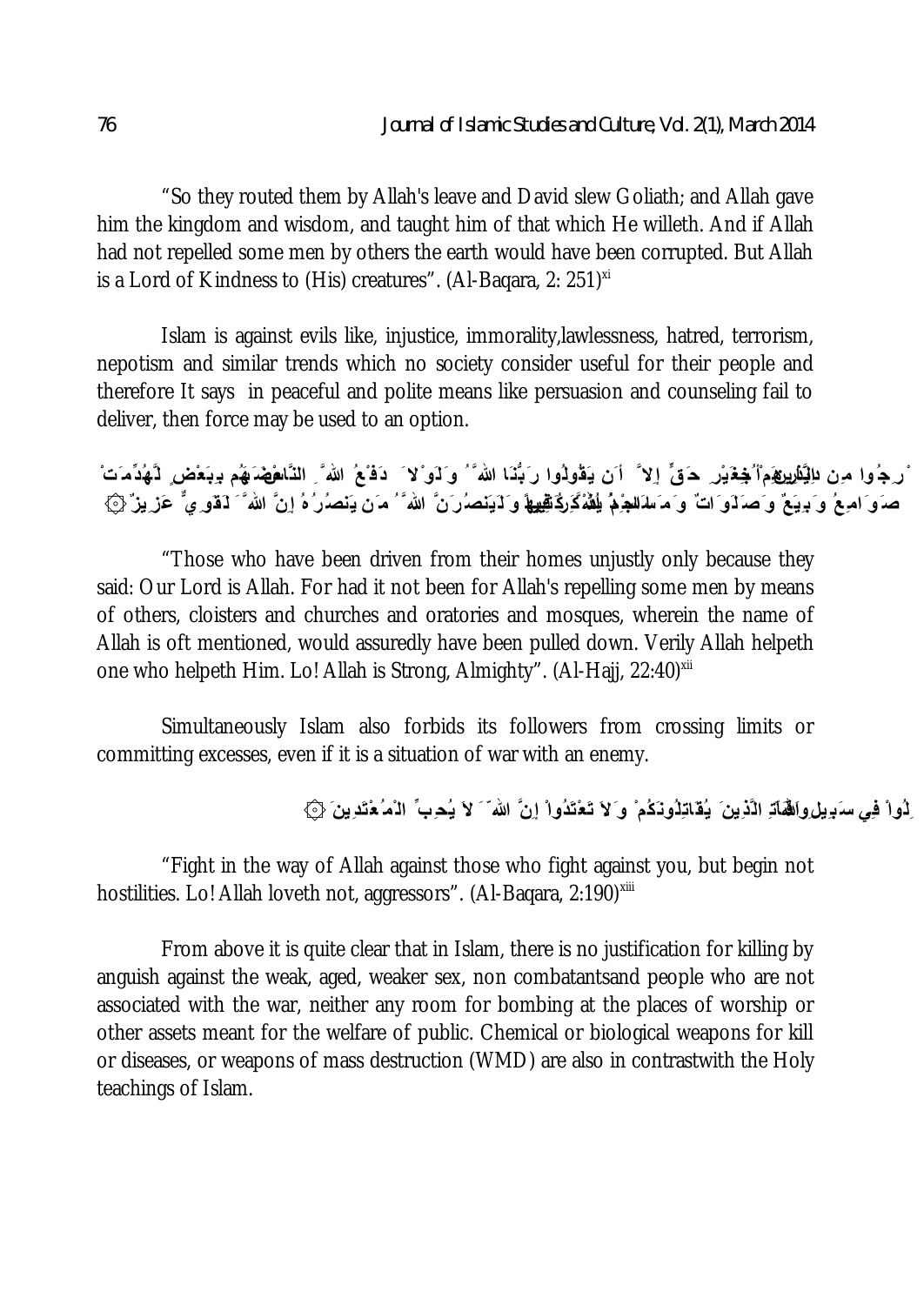"So they routed them by Allah's leave and David slew Goliath; and Allah gave him the kingdom and wisdom, and taught him of that which He willeth. And if Allah had not repelled some men by others the earth would have been corrupted. But Allah is a Lord of Kindness to (His) creatures". (Al-Baqara, 2: 251)<sup>xi</sup>

Islam is against evils like, injustice, immorality,lawlessness, hatred, terrorism, nepotism and similar trends which no society consider useful for their people and therefore It says in peaceful and polite means like persuasion and counseling fail to deliver, then force may be used to an option.

ُ رِجُوا مِن ال**ِيَارِيرِي**َمِ ْ **جُغَيْر ِ حَ** قٍّ إلا ۖ أَن يَقُولُوا رَبُّنَا الله ۖ وَلَو ْلا َ دَفْعُ الله ِّ النَّال**عُ**هَمَنِهُم بِبَعْض ِ لَـَهُدِّمَتْ ۚ صَوَ امِعُ وَ بِ**یَعٌ وَصَلَوَاتٌ وَمَسَلَلْجِمُ اِللّهُ**فَكَرِكَاتِيهِهَا وَلَایَنصُرُنَّ الله َّ ُ مَن یَنصُرُهُ إِنَّ الله َ َ لَقَو مِنٌّ عَزِیزٌ ۞

"Those who have been driven from their homes unjustly only because they said: Our Lord is Allah. For had it not been for Allah's repelling some men by means of others, cloisters and churches and oratories and mosques, wherein the name of Allah is oft mentioned, would assuredly have been pulled down. Verily Allah helpeth one who helpeth Him. Lo! Allah is Strong, Almighty". (Al-Hajj, 22:40)<sup>xii</sup>

Simultaneously Islam also forbids its followers from crossing limits or committing excesses, even if it is a situation of war with an enemy.

ِلُواْ ف*ِي س*َبِیل**ِ وَالْفَاّدِ الْذِینَ یُقَاتِلُونَكُمْ و**َلاَ تَعْتَدُواْ إِنَّ الله َ َ لاَ یُحِبِّ الْمُعْتَدِینَ {۞

"Fight in the way of Allah against those who fight against you, but begin not hostilities. Lo! Allah loveth not, aggressors". (Al-Baqara, 2:190)xiii

From above it is quite clear that in Islam, there is no justification for killing by anguish against the weak, aged, weaker sex, non combatantsand people who are not associated with the war, neither any room for bombing at the places of worship or other assets meant for the welfare of public. Chemical or biological weapons for kill or diseases, or weapons of mass destruction (WMD) are also in contrastwith the Holy teachings of Islam.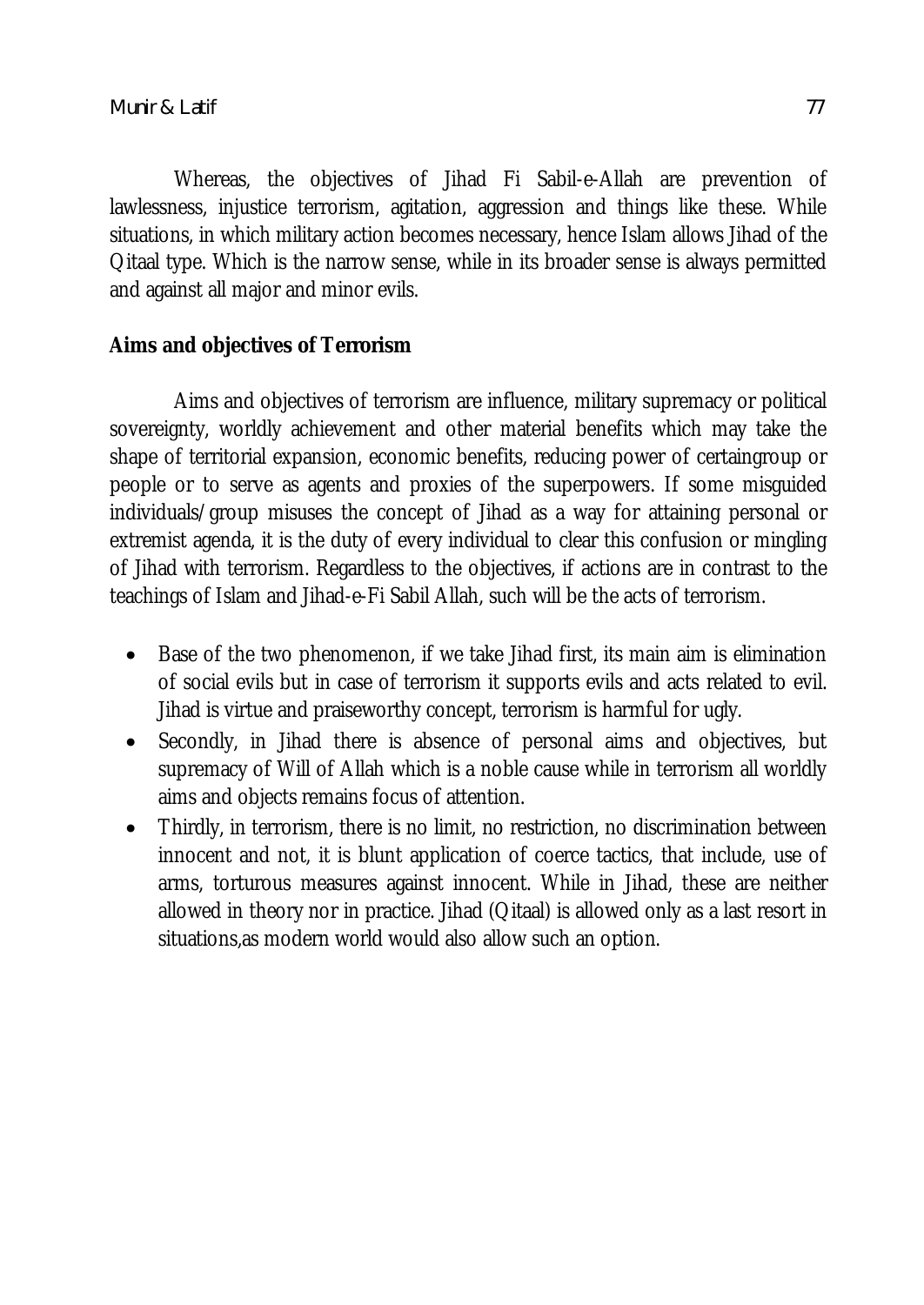Whereas, the objectives of Jihad Fi Sabil-e-Allah are prevention of lawlessness, injustice terrorism, agitation, aggression and things like these. While situations, in which military action becomes necessary, hence Islam allows Jihad of the Qitaal type. Which is the narrow sense, while in its broader sense is always permitted and against all major and minor evils.

# **Aims and objectives of Terrorism**

Aims and objectives of terrorism are influence, military supremacy or political sovereignty, worldly achievement and other material benefits which may take the shape of territorial expansion, economic benefits, reducing power of certaingroup or people or to serve as agents and proxies of the superpowers. If some misguided individuals/group misuses the concept of Jihad as a way for attaining personal or extremist agenda, it is the duty of every individual to clear this confusion or mingling of Jihad with terrorism. Regardless to the objectives, if actions are in contrast to the teachings of Islam and Jihad-e-Fi Sabil Allah, such will be the acts of terrorism.

- Base of the two phenomenon, if we take Jihad first, its main aim is elimination of social evils but in case of terrorism it supports evils and acts related to evil. Jihad is virtue and praiseworthy concept, terrorism is harmful for ugly.
- Secondly, in Jihad there is absence of personal aims and objectives, but supremacy of Will of Allah which is a noble cause while in terrorism all worldly aims and objects remains focus of attention.
- Thirdly, in terrorism, there is no limit, no restriction, no discrimination between innocent and not, it is blunt application of coerce tactics, that include, use of arms, torturous measures against innocent. While in Jihad, these are neither allowed in theory nor in practice. Jihad (Qitaal) is allowed only as a last resort in situations,as modern world would also allow such an option.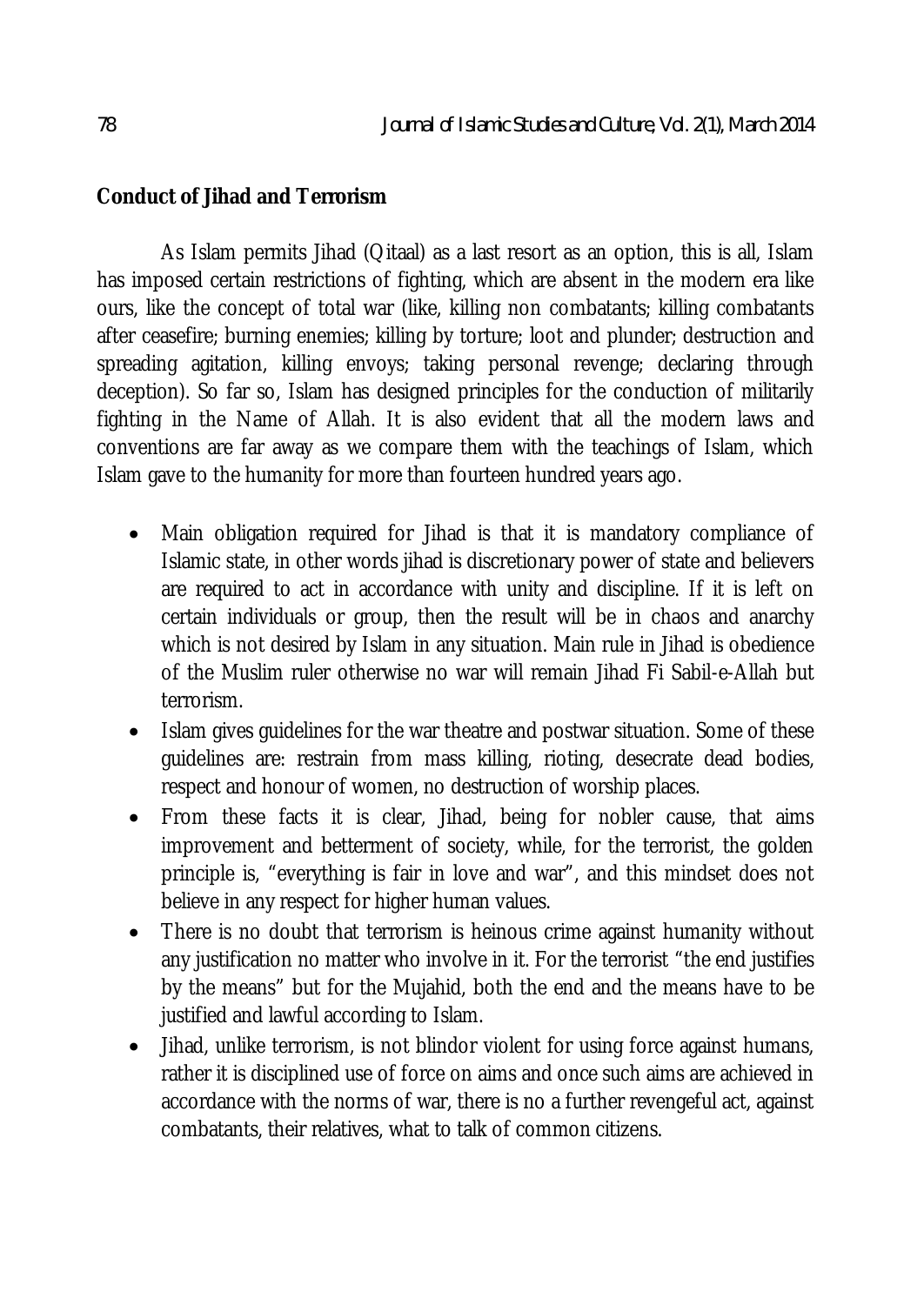## **Conduct of Jihad and Terrorism**

As Islam permits Jihad (Qitaal) as a last resort as an option, this is all, Islam has imposed certain restrictions of fighting, which are absent in the modern era like ours, like the concept of total war (like, killing non combatants; killing combatants after ceasefire; burning enemies; killing by torture; loot and plunder; destruction and spreading agitation, killing envoys; taking personal revenge; declaring through deception). So far so, Islam has designed principles for the conduction of militarily fighting in the Name of Allah. It is also evident that all the modern laws and conventions are far away as we compare them with the teachings of Islam, which Islam gave to the humanity for more than fourteen hundred years ago.

- Main obligation required for Jihad is that it is mandatory compliance of Islamic state, in other words jihad is discretionary power of state and believers are required to act in accordance with unity and discipline. If it is left on certain individuals or group, then the result will be in chaos and anarchy which is not desired by Islam in any situation. Main rule in Jihad is obedience of the Muslim ruler otherwise no war will remain Jihad Fi Sabil-e-Allah but terrorism.
- Islam gives guidelines for the war theatre and postwar situation. Some of these guidelines are: restrain from mass killing, rioting, desecrate dead bodies, respect and honour of women, no destruction of worship places.
- From these facts it is clear, Jihad, being for nobler cause, that aims improvement and betterment of society, while, for the terrorist, the golden principle is, "everything is fair in love and war", and this mindset does not believe in any respect for higher human values.
- There is no doubt that terrorism is heinous crime against humanity without any justification no matter who involve in it. For the terrorist "the end justifies by the means" but for the Mujahid, both the end and the means have to be justified and lawful according to Islam.
- Jihad, unlike terrorism, is not blindor violent for using force against humans, rather it is disciplined use of force on aims and once such aims are achieved in accordance with the norms of war, there is no a further revengeful act, against combatants, their relatives, what to talk of common citizens.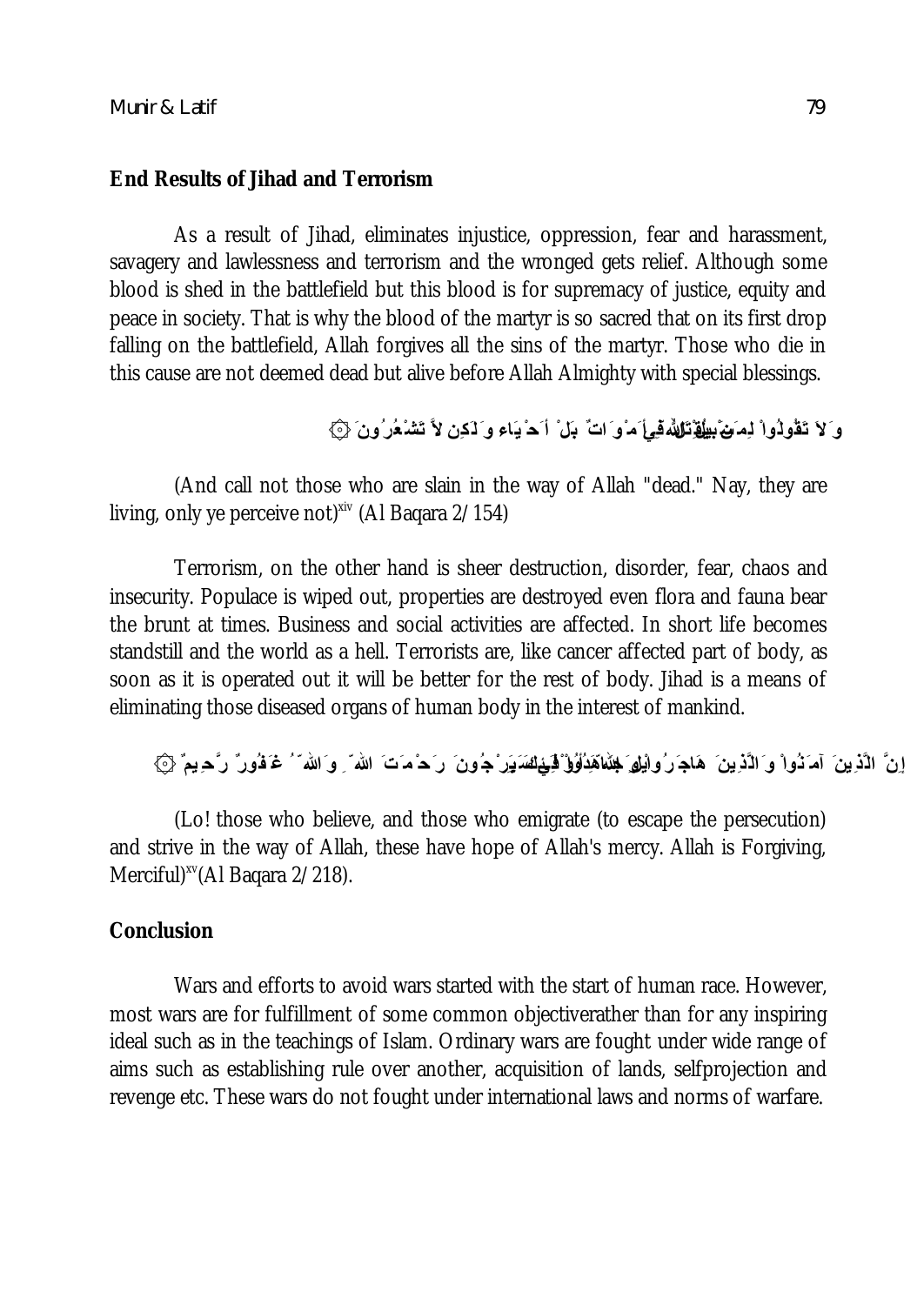#### **End Results of Jihad and Terrorism**

As a result of Jihad, eliminates injustice, oppression, fear and harassment, savagery and lawlessness and terrorism and the wronged gets relief. Although some blood is shed in the battlefield but this blood is for supremacy of justice, equity and peace in society. That is why the blood of the martyr is so sacred that on its first drop falling on the battlefield, Allah forgives all the sins of the martyr. Those who die in this cause are not deemed dead but alive before Allah Almighty with special blessings.

# **و َلاَ تَقُولُواْ لِم َن ْ یُقْتَل ُ فِي سَبیل ِ الله ّ ِ أ َم ْو َاتٌ بَل ْ أ َح ْ یَاء و َ لَكِن لاَّ تَشْعُرُون َ ۞**

(And call not those who are slain in the way of Allah "dead." Nay, they are living, only ye perceive not)<sup>xiv</sup> (Al Baqara 2/154)

Terrorism, on the other hand is sheer destruction, disorder, fear, chaos and insecurity. Populace is wiped out, properties are destroyed even flora and fauna bear the brunt at times. Business and social activities are affected. In short life becomes standstill and the world as a hell. Terrorists are, like cancer affected part of body, as soon as it is operated out it will be better for the rest of body. Jihad is a means of eliminating those diseased organs of human body in the interest of mankind.

إِنَّ الْذِینَ آمَ َنُواْ وَ الْذِینَ ۚ هَاجَ رُواْیُل*و*َ **جُ**نَّاهَٰذِلُوْلُوْ فَیَمْلِنَّهَ یَوَرُوْ یَرَّ مِیمٌ (عَ الله ۖ مُ فَورٌ رَّح ِیمٌ ﴿ ﴾

(Lo! those who believe, and those who emigrate (to escape the persecution) and strive in the way of Allah, these have hope of Allah's mercy. Allah is Forgiving, Merciful) xv(Al Baqara 2/218).

### **Conclusion**

Wars and efforts to avoid wars started with the start of human race. However, most wars are for fulfillment of some common objectiverather than for any inspiring ideal such as in the teachings of Islam. Ordinary wars are fought under wide range of aims such as establishing rule over another, acquisition of lands, selfprojection and revenge etc. These wars do not fought under international laws and norms of warfare.